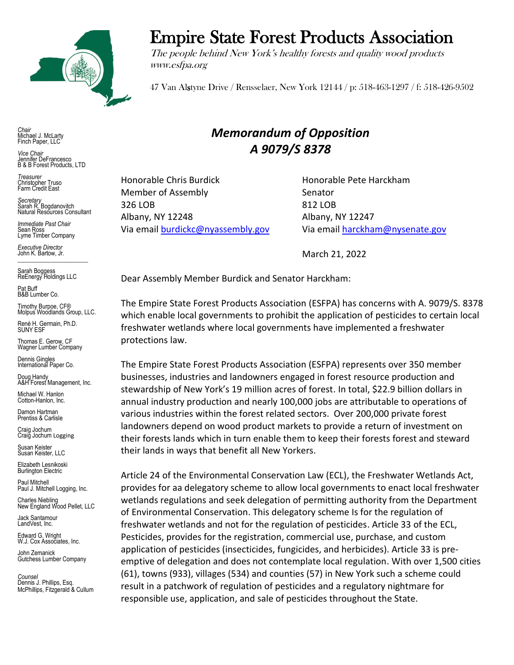

## Empire State Forest Products Association

The people behind New York's healthy forests and quality wood products www.esfpa.org

47 Van Alstyne Drive / Rensselaer, New York 12144 / p: 518-463-1297 / f: 518-426-9502

*Chair* Michael J. McLarty Finch Paper, LLC

*Vice Chair* Jennifer DeFrancesco B & B Forest Products, LTD

*Treasurer* Christopher Truso Farm Credit East

*Secretary* Sarah R. Bogdanovitch Natural Resources Consultant

*Immediate Past Chair* Sean Ross Lyme Timber Company

*Executive Director* John K. Bartow, Jr.  $\mathcal{L}_\text{max}$  , we can also the set of the set of the set of the set of the set of the set of the set of the set of the set of the set of the set of the set of the set of the set of the set of the set of the set of the se

Sarah Boggess ReEnergy Holdings LLC

Pat Buff B&B Lumber Co.

Timothy Burpoe, CF® Molpus Woodlands Group, LLC.

Renè H. Germain, Ph.D. SUNY ESF

Thomas E. Gerow, CF Wagner Lumber Company

Dennis Gingles International Paper Co.

Doug Handy A&H Forest Management, Inc.

Michael W. Hanlon Cotton-Hanlon, Inc.

Damon Hartman Prentiss & Carlisle

Craig Jochum Craig Jochum Logging

Susan Keister Susan Keister, LLC

Elizabeth Lesnikoski **Burlington Electric** 

Paul Mitchell Paul J. Mitchell Logging, Inc.

Charles Niebling New England Wood Pellet, LLC

Jack Santamour LandVest, Inc.

Edward G. Wright W.J. Cox Associates, Inc.

John Zemanick Gutchess Lumber Company

*Counsel* Dennis J. Phillips, Esq. McPhillips, Fitzgerald & Cullum

## *Memorandum of Opposition A 9079/S 8378*

Honorable Chris Burdick Honorable Pete Harckham Member of Assembly Senator 326 LOB 812 LOB Albany, NY 12248 Albany, NY 12247

Via email [burdickc@nyassembly.gov](mailto:burdickc@nyassembly.gov) Via emai[l harckham@nysenate.gov](mailto:harckham@nysenate.gov)

March 21, 2022

Dear Assembly Member Burdick and Senator Harckham:

The Empire State Forest Products Association (ESFPA) has concerns with A. 9079/S. 8378 which enable local governments to prohibit the application of pesticides to certain local freshwater wetlands where local governments have implemented a freshwater protections law.

The Empire State Forest Products Association (ESFPA) represents over 350 member businesses, industries and landowners engaged in forest resource production and stewardship of New York's 19 million acres of forest. In total, \$22.9 billion dollars in annual industry production and nearly 100,000 jobs are attributable to operations of various industries within the forest related sectors. Over 200,000 private forest landowners depend on wood product markets to provide a return of investment on their forests lands which in turn enable them to keep their forests forest and steward their lands in ways that benefit all New Yorkers.

Article 24 of the Environmental Conservation Law (ECL), the Freshwater Wetlands Act, provides for aa delegatory scheme to allow local governments to enact local freshwater wetlands regulations and seek delegation of permitting authority from the Department of Environmental Conservation. This delegatory scheme Is for the regulation of freshwater wetlands and not for the regulation of pesticides. Article 33 of the ECL, Pesticides, provides for the registration, commercial use, purchase, and custom application of pesticides (insecticides, fungicides, and herbicides). Article 33 is preemptive of delegation and does not contemplate local regulation. With over 1,500 cities (61), towns (933), villages (534) and counties (57) in New York such a scheme could result in a patchwork of regulation of pesticides and a regulatory nightmare for responsible use, application, and sale of pesticides throughout the State.